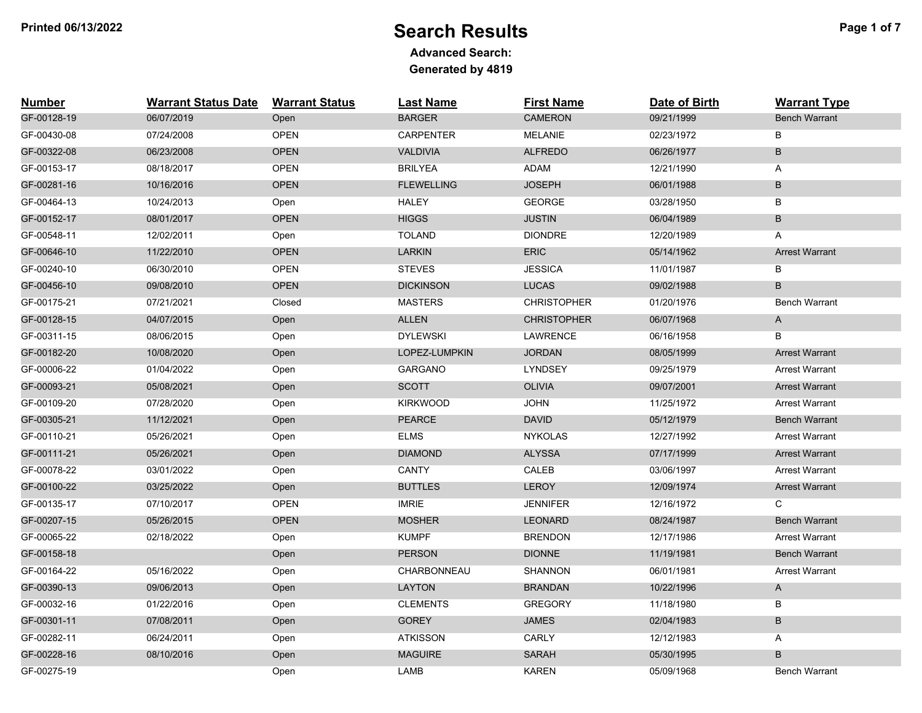## **Printed 06/13/2022** Proposed Page 1 of 7

| <b>Number</b> | <b>Warrant Status Date</b> | <b>Warrant Status</b> | <b>Last Name</b>  | <b>First Name</b>  | Date of Birth | <b>Warrant Type</b>   |
|---------------|----------------------------|-----------------------|-------------------|--------------------|---------------|-----------------------|
| GF-00128-19   | 06/07/2019                 | Open                  | <b>BARGER</b>     | <b>CAMERON</b>     | 09/21/1999    | <b>Bench Warrant</b>  |
| GF-00430-08   | 07/24/2008                 | <b>OPEN</b>           | <b>CARPENTER</b>  | <b>MELANIE</b>     | 02/23/1972    | B                     |
| GF-00322-08   | 06/23/2008                 | <b>OPEN</b>           | <b>VALDIVIA</b>   | <b>ALFREDO</b>     | 06/26/1977    | B                     |
| GF-00153-17   | 08/18/2017                 | <b>OPEN</b>           | <b>BRILYEA</b>    | <b>ADAM</b>        | 12/21/1990    | A                     |
| GF-00281-16   | 10/16/2016                 | <b>OPEN</b>           | <b>FLEWELLING</b> | <b>JOSEPH</b>      | 06/01/1988    | B                     |
| GF-00464-13   | 10/24/2013                 | Open                  | <b>HALEY</b>      | <b>GEORGE</b>      | 03/28/1950    | В                     |
| GF-00152-17   | 08/01/2017                 | OPEN                  | <b>HIGGS</b>      | <b>JUSTIN</b>      | 06/04/1989    | B                     |
| GF-00548-11   | 12/02/2011                 | Open                  | <b>TOLAND</b>     | <b>DIONDRE</b>     | 12/20/1989    | A                     |
| GF-00646-10   | 11/22/2010                 | OPEN                  | <b>LARKIN</b>     | <b>ERIC</b>        | 05/14/1962    | <b>Arrest Warrant</b> |
| GF-00240-10   | 06/30/2010                 | <b>OPEN</b>           | <b>STEVES</b>     | <b>JESSICA</b>     | 11/01/1987    | В                     |
| GF-00456-10   | 09/08/2010                 | <b>OPEN</b>           | <b>DICKINSON</b>  | <b>LUCAS</b>       | 09/02/1988    | B                     |
| GF-00175-21   | 07/21/2021                 | Closed                | <b>MASTERS</b>    | <b>CHRISTOPHER</b> | 01/20/1976    | <b>Bench Warrant</b>  |
| GF-00128-15   | 04/07/2015                 | Open                  | <b>ALLEN</b>      | <b>CHRISTOPHER</b> | 06/07/1968    | A                     |
| GF-00311-15   | 08/06/2015                 | Open                  | <b>DYLEWSKI</b>   | LAWRENCE           | 06/16/1958    | В                     |
| GF-00182-20   | 10/08/2020                 | Open                  | LOPEZ-LUMPKIN     | <b>JORDAN</b>      | 08/05/1999    | <b>Arrest Warrant</b> |
| GF-00006-22   | 01/04/2022                 | Open                  | <b>GARGANO</b>    | <b>LYNDSEY</b>     | 09/25/1979    | <b>Arrest Warrant</b> |
| GF-00093-21   | 05/08/2021                 | Open                  | <b>SCOTT</b>      | <b>OLIVIA</b>      | 09/07/2001    | <b>Arrest Warrant</b> |
| GF-00109-20   | 07/28/2020                 | Open                  | <b>KIRKWOOD</b>   | <b>JOHN</b>        | 11/25/1972    | <b>Arrest Warrant</b> |
| GF-00305-21   | 11/12/2021                 | Open                  | <b>PEARCE</b>     | <b>DAVID</b>       | 05/12/1979    | <b>Bench Warrant</b>  |
| GF-00110-21   | 05/26/2021                 | Open                  | <b>ELMS</b>       | <b>NYKOLAS</b>     | 12/27/1992    | <b>Arrest Warrant</b> |
| GF-00111-21   | 05/26/2021                 | Open                  | <b>DIAMOND</b>    | <b>ALYSSA</b>      | 07/17/1999    | <b>Arrest Warrant</b> |
| GF-00078-22   | 03/01/2022                 | Open                  | <b>CANTY</b>      | CALEB              | 03/06/1997    | <b>Arrest Warrant</b> |
| GF-00100-22   | 03/25/2022                 | Open                  | <b>BUTTLES</b>    | <b>LEROY</b>       | 12/09/1974    | <b>Arrest Warrant</b> |
| GF-00135-17   | 07/10/2017                 | <b>OPEN</b>           | <b>IMRIE</b>      | <b>JENNIFER</b>    | 12/16/1972    | C                     |
| GF-00207-15   | 05/26/2015                 | <b>OPEN</b>           | <b>MOSHER</b>     | <b>LEONARD</b>     | 08/24/1987    | <b>Bench Warrant</b>  |
| GF-00065-22   | 02/18/2022                 | Open                  | <b>KUMPF</b>      | <b>BRENDON</b>     | 12/17/1986    | <b>Arrest Warrant</b> |
| GF-00158-18   |                            | Open                  | <b>PERSON</b>     | <b>DIONNE</b>      | 11/19/1981    | <b>Bench Warrant</b>  |
| GF-00164-22   | 05/16/2022                 | Open                  | CHARBONNEAU       | <b>SHANNON</b>     | 06/01/1981    | <b>Arrest Warrant</b> |
| GF-00390-13   | 09/06/2013                 | Open                  | <b>LAYTON</b>     | <b>BRANDAN</b>     | 10/22/1996    | A                     |
| GF-00032-16   | 01/22/2016                 | Open                  | <b>CLEMENTS</b>   | <b>GREGORY</b>     | 11/18/1980    | В                     |
| GF-00301-11   | 07/08/2011                 | Open                  | <b>GOREY</b>      | <b>JAMES</b>       | 02/04/1983    | B                     |
| GF-00282-11   | 06/24/2011                 | Open                  | <b>ATKISSON</b>   | CARLY              | 12/12/1983    | A                     |
| GF-00228-16   | 08/10/2016                 | Open                  | <b>MAGUIRE</b>    | SARAH              | 05/30/1995    | B                     |
| GF-00275-19   |                            | Open                  | LAMB              | <b>KAREN</b>       | 05/09/1968    | <b>Bench Warrant</b>  |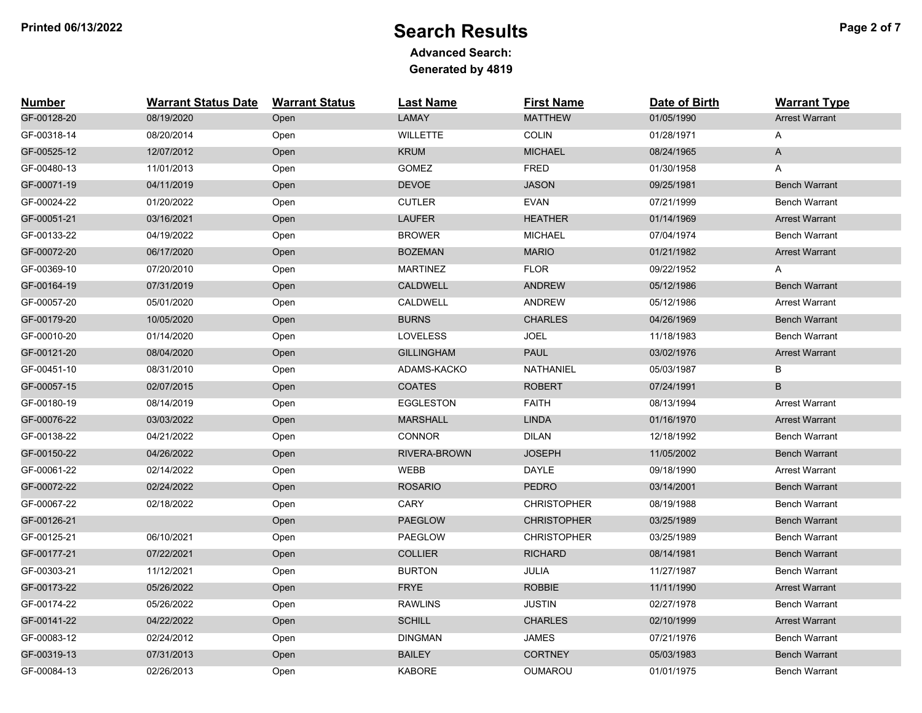## **Printed 06/13/2022** Proposed Page 2 of 7

| <b>Number</b> | <b>Warrant Status Date</b> | <b>Warrant Status</b> | <b>Last Name</b>    | <b>First Name</b>  | Date of Birth | <b>Warrant Type</b>   |
|---------------|----------------------------|-----------------------|---------------------|--------------------|---------------|-----------------------|
| GF-00128-20   | 08/19/2020                 | Open                  | LAMAY               | <b>MATTHEW</b>     | 01/05/1990    | <b>Arrest Warrant</b> |
| GF-00318-14   | 08/20/2014                 | Open                  | <b>WILLETTE</b>     | <b>COLIN</b>       | 01/28/1971    | Α                     |
| GF-00525-12   | 12/07/2012                 | Open                  | <b>KRUM</b>         | <b>MICHAEL</b>     | 08/24/1965    | $\mathsf{A}$          |
| GF-00480-13   | 11/01/2013                 | Open                  | <b>GOMEZ</b>        | <b>FRED</b>        | 01/30/1958    | A                     |
| GF-00071-19   | 04/11/2019                 | Open                  | <b>DEVOE</b>        | <b>JASON</b>       | 09/25/1981    | <b>Bench Warrant</b>  |
| GF-00024-22   | 01/20/2022                 | Open                  | <b>CUTLER</b>       | <b>EVAN</b>        | 07/21/1999    | <b>Bench Warrant</b>  |
| GF-00051-21   | 03/16/2021                 | Open                  | <b>LAUFER</b>       | <b>HEATHER</b>     | 01/14/1969    | <b>Arrest Warrant</b> |
| GF-00133-22   | 04/19/2022                 | Open                  | <b>BROWER</b>       | <b>MICHAEL</b>     | 07/04/1974    | <b>Bench Warrant</b>  |
| GF-00072-20   | 06/17/2020                 | Open                  | <b>BOZEMAN</b>      | <b>MARIO</b>       | 01/21/1982    | <b>Arrest Warrant</b> |
| GF-00369-10   | 07/20/2010                 | Open                  | <b>MARTINEZ</b>     | <b>FLOR</b>        | 09/22/1952    | A                     |
| GF-00164-19   | 07/31/2019                 | Open                  | <b>CALDWELL</b>     | <b>ANDREW</b>      | 05/12/1986    | <b>Bench Warrant</b>  |
| GF-00057-20   | 05/01/2020                 | Open                  | CALDWELL            | <b>ANDREW</b>      | 05/12/1986    | <b>Arrest Warrant</b> |
| GF-00179-20   | 10/05/2020                 | Open                  | <b>BURNS</b>        | <b>CHARLES</b>     | 04/26/1969    | <b>Bench Warrant</b>  |
| GF-00010-20   | 01/14/2020                 | Open                  | <b>LOVELESS</b>     | <b>JOEL</b>        | 11/18/1983    | <b>Bench Warrant</b>  |
| GF-00121-20   | 08/04/2020                 | Open                  | <b>GILLINGHAM</b>   | <b>PAUL</b>        | 03/02/1976    | <b>Arrest Warrant</b> |
| GF-00451-10   | 08/31/2010                 | Open                  | ADAMS-KACKO         | NATHANIEL          | 05/03/1987    | В                     |
| GF-00057-15   | 02/07/2015                 | Open                  | <b>COATES</b>       | <b>ROBERT</b>      | 07/24/1991    | B                     |
| GF-00180-19   | 08/14/2019                 | Open                  | <b>EGGLESTON</b>    | <b>FAITH</b>       | 08/13/1994    | <b>Arrest Warrant</b> |
| GF-00076-22   | 03/03/2022                 | Open                  | <b>MARSHALL</b>     | <b>LINDA</b>       | 01/16/1970    | <b>Arrest Warrant</b> |
| GF-00138-22   | 04/21/2022                 | Open                  | <b>CONNOR</b>       | <b>DILAN</b>       | 12/18/1992    | <b>Bench Warrant</b>  |
| GF-00150-22   | 04/26/2022                 | Open                  | <b>RIVERA-BROWN</b> | <b>JOSEPH</b>      | 11/05/2002    | <b>Bench Warrant</b>  |
| GF-00061-22   | 02/14/2022                 | Open                  | WEBB                | <b>DAYLE</b>       | 09/18/1990    | <b>Arrest Warrant</b> |
| GF-00072-22   | 02/24/2022                 | Open                  | <b>ROSARIO</b>      | <b>PEDRO</b>       | 03/14/2001    | <b>Bench Warrant</b>  |
| GF-00067-22   | 02/18/2022                 | Open                  | CARY                | <b>CHRISTOPHER</b> | 08/19/1988    | <b>Bench Warrant</b>  |
| GF-00126-21   |                            | Open                  | <b>PAEGLOW</b>      | <b>CHRISTOPHER</b> | 03/25/1989    | <b>Bench Warrant</b>  |
| GF-00125-21   | 06/10/2021                 | Open                  | <b>PAEGLOW</b>      | <b>CHRISTOPHER</b> | 03/25/1989    | <b>Bench Warrant</b>  |
| GF-00177-21   | 07/22/2021                 | Open                  | <b>COLLIER</b>      | <b>RICHARD</b>     | 08/14/1981    | <b>Bench Warrant</b>  |
| GF-00303-21   | 11/12/2021                 | Open                  | <b>BURTON</b>       | JULIA              | 11/27/1987    | <b>Bench Warrant</b>  |
| GF-00173-22   | 05/26/2022                 | Open                  | <b>FRYE</b>         | <b>ROBBIE</b>      | 11/11/1990    | <b>Arrest Warrant</b> |
| GF-00174-22   | 05/26/2022                 | Open                  | <b>RAWLINS</b>      | <b>JUSTIN</b>      | 02/27/1978    | Bench Warrant         |
| GF-00141-22   | 04/22/2022                 | Open                  | <b>SCHILL</b>       | <b>CHARLES</b>     | 02/10/1999    | <b>Arrest Warrant</b> |
| GF-00083-12   | 02/24/2012                 | Open                  | <b>DINGMAN</b>      | <b>JAMES</b>       | 07/21/1976    | Bench Warrant         |
| GF-00319-13   | 07/31/2013                 | Open                  | <b>BAILEY</b>       | <b>CORTNEY</b>     | 05/03/1983    | <b>Bench Warrant</b>  |
| GF-00084-13   | 02/26/2013                 | Open                  | <b>KABORE</b>       | <b>OUMAROU</b>     | 01/01/1975    | <b>Bench Warrant</b>  |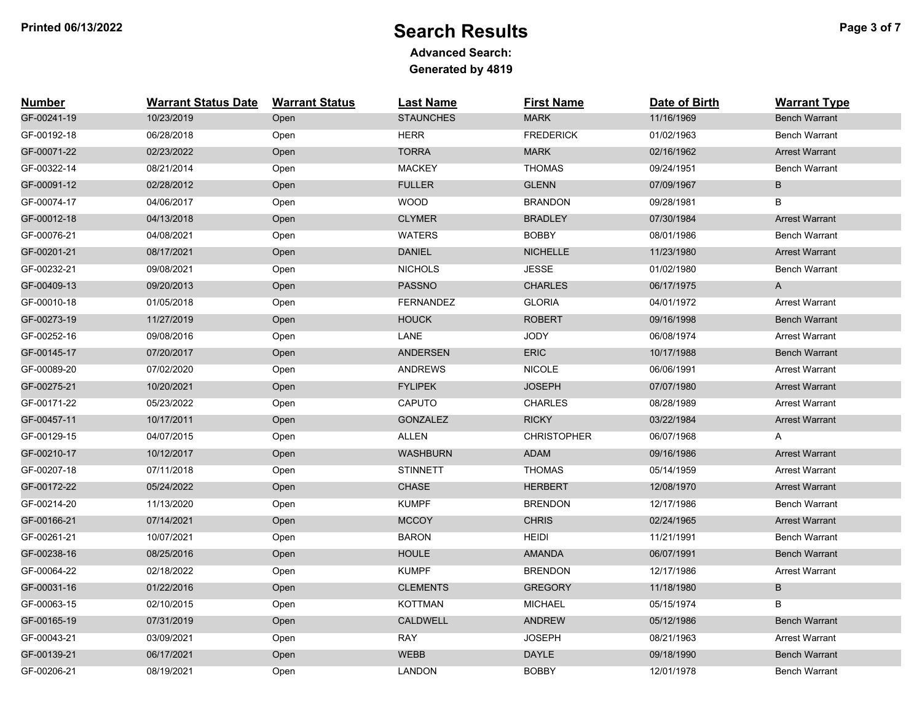# **Printed 06/13/2022** Proposed Page 3 of 7

| <b>Number</b> | <b>Warrant Status Date</b> | <b>Warrant Status</b> | <b>Last Name</b> | <b>First Name</b>  | Date of Birth | <b>Warrant Type</b>   |
|---------------|----------------------------|-----------------------|------------------|--------------------|---------------|-----------------------|
| GF-00241-19   | 10/23/2019                 | Open                  | <b>STAUNCHES</b> | <b>MARK</b>        | 11/16/1969    | <b>Bench Warrant</b>  |
| GF-00192-18   | 06/28/2018                 | Open                  | <b>HERR</b>      | <b>FREDERICK</b>   | 01/02/1963    | <b>Bench Warrant</b>  |
| GF-00071-22   | 02/23/2022                 | Open                  | <b>TORRA</b>     | <b>MARK</b>        | 02/16/1962    | <b>Arrest Warrant</b> |
| GF-00322-14   | 08/21/2014                 | Open                  | <b>MACKEY</b>    | <b>THOMAS</b>      | 09/24/1951    | <b>Bench Warrant</b>  |
| GF-00091-12   | 02/28/2012                 | Open                  | <b>FULLER</b>    | <b>GLENN</b>       | 07/09/1967    | B                     |
| GF-00074-17   | 04/06/2017                 | Open                  | <b>WOOD</b>      | <b>BRANDON</b>     | 09/28/1981    | $\sf B$               |
| GF-00012-18   | 04/13/2018                 | Open                  | <b>CLYMER</b>    | <b>BRADLEY</b>     | 07/30/1984    | <b>Arrest Warrant</b> |
| GF-00076-21   | 04/08/2021                 | Open                  | <b>WATERS</b>    | <b>BOBBY</b>       | 08/01/1986    | <b>Bench Warrant</b>  |
| GF-00201-21   | 08/17/2021                 | Open                  | DANIEL           | <b>NICHELLE</b>    | 11/23/1980    | <b>Arrest Warrant</b> |
| GF-00232-21   | 09/08/2021                 | Open                  | <b>NICHOLS</b>   | <b>JESSE</b>       | 01/02/1980    | <b>Bench Warrant</b>  |
| GF-00409-13   | 09/20/2013                 | Open                  | <b>PASSNO</b>    | <b>CHARLES</b>     | 06/17/1975    | A                     |
| GF-00010-18   | 01/05/2018                 | Open                  | <b>FERNANDEZ</b> | <b>GLORIA</b>      | 04/01/1972    | <b>Arrest Warrant</b> |
| GF-00273-19   | 11/27/2019                 | Open                  | <b>HOUCK</b>     | <b>ROBERT</b>      | 09/16/1998    | <b>Bench Warrant</b>  |
| GF-00252-16   | 09/08/2016                 | Open                  | LANE             | <b>JODY</b>        | 06/08/1974    | <b>Arrest Warrant</b> |
| GF-00145-17   | 07/20/2017                 | Open                  | <b>ANDERSEN</b>  | <b>ERIC</b>        | 10/17/1988    | <b>Bench Warrant</b>  |
| GF-00089-20   | 07/02/2020                 | Open                  | <b>ANDREWS</b>   | <b>NICOLE</b>      | 06/06/1991    | <b>Arrest Warrant</b> |
| GF-00275-21   | 10/20/2021                 | Open                  | <b>FYLIPEK</b>   | <b>JOSEPH</b>      | 07/07/1980    | <b>Arrest Warrant</b> |
| GF-00171-22   | 05/23/2022                 | Open                  | <b>CAPUTO</b>    | <b>CHARLES</b>     | 08/28/1989    | <b>Arrest Warrant</b> |
| GF-00457-11   | 10/17/2011                 | Open                  | <b>GONZALEZ</b>  | <b>RICKY</b>       | 03/22/1984    | <b>Arrest Warrant</b> |
| GF-00129-15   | 04/07/2015                 | Open                  | <b>ALLEN</b>     | <b>CHRISTOPHER</b> | 06/07/1968    | A                     |
| GF-00210-17   | 10/12/2017                 | Open                  | <b>WASHBURN</b>  | <b>ADAM</b>        | 09/16/1986    | <b>Arrest Warrant</b> |
| GF-00207-18   | 07/11/2018                 | Open                  | <b>STINNETT</b>  | <b>THOMAS</b>      | 05/14/1959    | <b>Arrest Warrant</b> |
| GF-00172-22   | 05/24/2022                 | Open                  | CHASE            | <b>HERBERT</b>     | 12/08/1970    | <b>Arrest Warrant</b> |
| GF-00214-20   | 11/13/2020                 | Open                  | <b>KUMPF</b>     | <b>BRENDON</b>     | 12/17/1986    | <b>Bench Warrant</b>  |
| GF-00166-21   | 07/14/2021                 | Open                  | <b>MCCOY</b>     | <b>CHRIS</b>       | 02/24/1965    | <b>Arrest Warrant</b> |
| GF-00261-21   | 10/07/2021                 | Open                  | <b>BARON</b>     | <b>HEIDI</b>       | 11/21/1991    | <b>Bench Warrant</b>  |
| GF-00238-16   | 08/25/2016                 | Open                  | <b>HOULE</b>     | <b>AMANDA</b>      | 06/07/1991    | <b>Bench Warrant</b>  |
| GF-00064-22   | 02/18/2022                 | Open                  | <b>KUMPF</b>     | <b>BRENDON</b>     | 12/17/1986    | <b>Arrest Warrant</b> |
| GF-00031-16   | 01/22/2016                 | Open                  | <b>CLEMENTS</b>  | <b>GREGORY</b>     | 11/18/1980    | B                     |
| GF-00063-15   | 02/10/2015                 | Open                  | <b>KOTTMAN</b>   | <b>MICHAEL</b>     | 05/15/1974    | В                     |
| GF-00165-19   | 07/31/2019                 | Open                  | CALDWELL         | ANDREW             | 05/12/1986    | <b>Bench Warrant</b>  |
| GF-00043-21   | 03/09/2021                 | Open                  | <b>RAY</b>       | <b>JOSEPH</b>      | 08/21/1963    | Arrest Warrant        |
| GF-00139-21   | 06/17/2021                 | Open                  | <b>WEBB</b>      | <b>DAYLE</b>       | 09/18/1990    | <b>Bench Warrant</b>  |
| GF-00206-21   | 08/19/2021                 | Open                  | <b>LANDON</b>    | <b>BOBBY</b>       | 12/01/1978    | <b>Bench Warrant</b>  |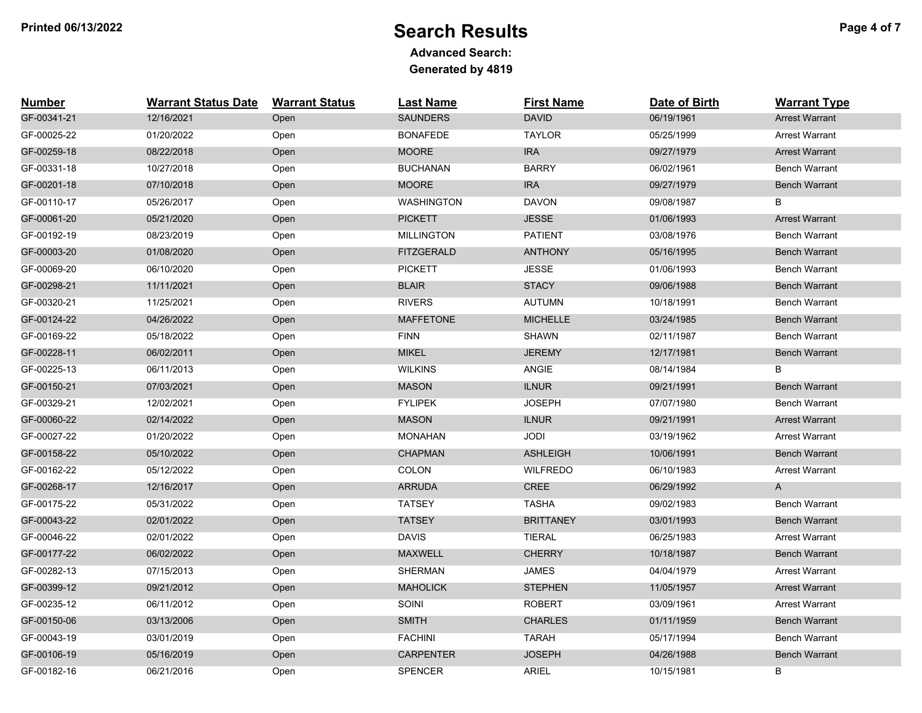# **Printed 06/13/2022** Proposed and the Search Results and the Page 4 of 7

| <b>Number</b> | <b>Warrant Status Date</b> | <b>Warrant Status</b> | <b>Last Name</b>  | <b>First Name</b> | Date of Birth | <b>Warrant Type</b>   |
|---------------|----------------------------|-----------------------|-------------------|-------------------|---------------|-----------------------|
| GF-00341-21   | 12/16/2021                 | Open                  | <b>SAUNDERS</b>   | <b>DAVID</b>      | 06/19/1961    | <b>Arrest Warrant</b> |
| GF-00025-22   | 01/20/2022                 | Open                  | <b>BONAFEDE</b>   | <b>TAYLOR</b>     | 05/25/1999    | <b>Arrest Warrant</b> |
| GF-00259-18   | 08/22/2018                 | Open                  | <b>MOORE</b>      | <b>IRA</b>        | 09/27/1979    | <b>Arrest Warrant</b> |
| GF-00331-18   | 10/27/2018                 | Open                  | <b>BUCHANAN</b>   | <b>BARRY</b>      | 06/02/1961    | <b>Bench Warrant</b>  |
| GF-00201-18   | 07/10/2018                 | Open                  | <b>MOORE</b>      | <b>IRA</b>        | 09/27/1979    | <b>Bench Warrant</b>  |
| GF-00110-17   | 05/26/2017                 | Open                  | <b>WASHINGTON</b> | <b>DAVON</b>      | 09/08/1987    | B                     |
| GF-00061-20   | 05/21/2020                 | Open                  | <b>PICKETT</b>    | <b>JESSE</b>      | 01/06/1993    | <b>Arrest Warrant</b> |
| GF-00192-19   | 08/23/2019                 | Open                  | <b>MILLINGTON</b> | <b>PATIENT</b>    | 03/08/1976    | Bench Warrant         |
| GF-00003-20   | 01/08/2020                 | Open                  | <b>FITZGERALD</b> | <b>ANTHONY</b>    | 05/16/1995    | <b>Bench Warrant</b>  |
| GF-00069-20   | 06/10/2020                 | Open                  | <b>PICKETT</b>    | <b>JESSE</b>      | 01/06/1993    | <b>Bench Warrant</b>  |
| GF-00298-21   | 11/11/2021                 | Open                  | <b>BLAIR</b>      | <b>STACY</b>      | 09/06/1988    | <b>Bench Warrant</b>  |
| GF-00320-21   | 11/25/2021                 | Open                  | <b>RIVERS</b>     | <b>AUTUMN</b>     | 10/18/1991    | <b>Bench Warrant</b>  |
| GF-00124-22   | 04/26/2022                 | Open                  | <b>MAFFETONE</b>  | <b>MICHELLE</b>   | 03/24/1985    | <b>Bench Warrant</b>  |
| GF-00169-22   | 05/18/2022                 | Open                  | <b>FINN</b>       | <b>SHAWN</b>      | 02/11/1987    | <b>Bench Warrant</b>  |
| GF-00228-11   | 06/02/2011                 | Open                  | <b>MIKEL</b>      | <b>JEREMY</b>     | 12/17/1981    | <b>Bench Warrant</b>  |
| GF-00225-13   | 06/11/2013                 | Open                  | <b>WILKINS</b>    | ANGIE             | 08/14/1984    | В                     |
| GF-00150-21   | 07/03/2021                 | Open                  | <b>MASON</b>      | <b>ILNUR</b>      | 09/21/1991    | <b>Bench Warrant</b>  |
| GF-00329-21   | 12/02/2021                 | Open                  | <b>FYLIPEK</b>    | <b>JOSEPH</b>     | 07/07/1980    | <b>Bench Warrant</b>  |
| GF-00060-22   | 02/14/2022                 | Open                  | <b>MASON</b>      | <b>ILNUR</b>      | 09/21/1991    | <b>Arrest Warrant</b> |
| GF-00027-22   | 01/20/2022                 | Open                  | <b>MONAHAN</b>    | <b>JODI</b>       | 03/19/1962    | <b>Arrest Warrant</b> |
| GF-00158-22   | 05/10/2022                 | Open                  | <b>CHAPMAN</b>    | <b>ASHLEIGH</b>   | 10/06/1991    | <b>Bench Warrant</b>  |
| GF-00162-22   | 05/12/2022                 | Open                  | COLON             | <b>WILFREDO</b>   | 06/10/1983    | <b>Arrest Warrant</b> |
| GF-00268-17   | 12/16/2017                 | Open                  | <b>ARRUDA</b>     | CREE              | 06/29/1992    | A                     |
| GF-00175-22   | 05/31/2022                 | Open                  | <b>TATSEY</b>     | <b>TASHA</b>      | 09/02/1983    | <b>Bench Warrant</b>  |
| GF-00043-22   | 02/01/2022                 | Open                  | <b>TATSEY</b>     | <b>BRITTANEY</b>  | 03/01/1993    | <b>Bench Warrant</b>  |
| GF-00046-22   | 02/01/2022                 | Open                  | <b>DAVIS</b>      | <b>TIERAL</b>     | 06/25/1983    | <b>Arrest Warrant</b> |
| GF-00177-22   | 06/02/2022                 | Open                  | <b>MAXWELL</b>    | <b>CHERRY</b>     | 10/18/1987    | <b>Bench Warrant</b>  |
| GF-00282-13   | 07/15/2013                 | Open                  | <b>SHERMAN</b>    | <b>JAMES</b>      | 04/04/1979    | <b>Arrest Warrant</b> |
| GF-00399-12   | 09/21/2012                 | Open                  | <b>MAHOLICK</b>   | <b>STEPHEN</b>    | 11/05/1957    | <b>Arrest Warrant</b> |
| GF-00235-12   | 06/11/2012                 | Open                  | SOINI             | <b>ROBERT</b>     | 03/09/1961    | <b>Arrest Warrant</b> |
| GF-00150-06   | 03/13/2006                 | Open                  | <b>SMITH</b>      | <b>CHARLES</b>    | 01/11/1959    | <b>Bench Warrant</b>  |
| GF-00043-19   | 03/01/2019                 | Open                  | <b>FACHINI</b>    | <b>TARAH</b>      | 05/17/1994    | <b>Bench Warrant</b>  |
| GF-00106-19   | 05/16/2019                 | Open                  | <b>CARPENTER</b>  | <b>JOSEPH</b>     | 04/26/1988    | <b>Bench Warrant</b>  |
| GF-00182-16   | 06/21/2016                 | Open                  | <b>SPENCER</b>    | ARIEL             | 10/15/1981    | В                     |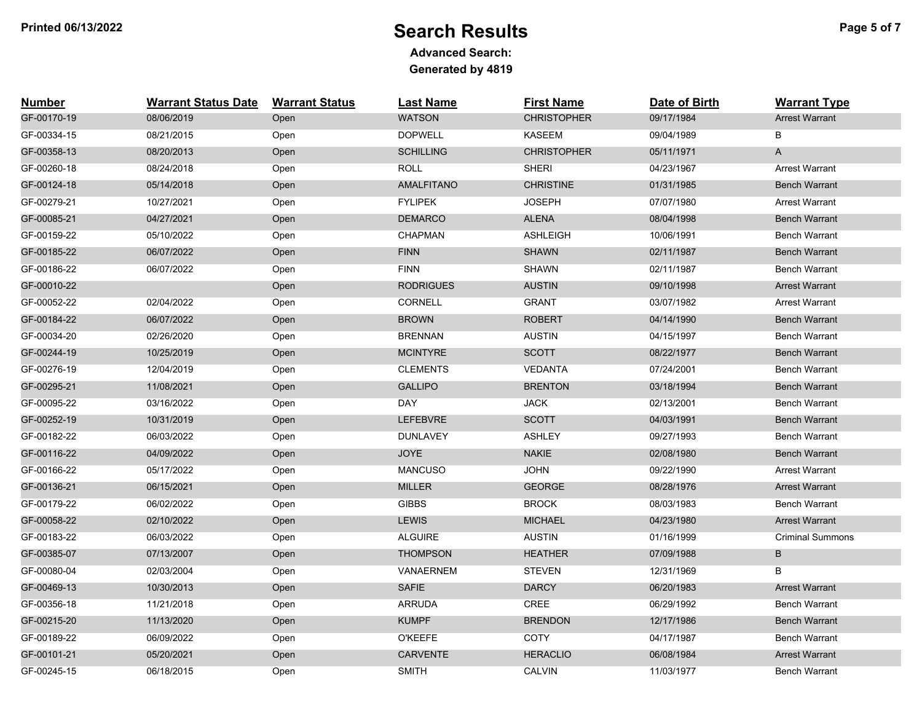# **Printed 06/13/2022** Provided Page 5 of 7

| <b>Number</b> | <b>Warrant Status Date</b> | <b>Warrant Status</b> | <b>Last Name</b>  | <b>First Name</b>  | Date of Birth | <b>Warrant Type</b>       |
|---------------|----------------------------|-----------------------|-------------------|--------------------|---------------|---------------------------|
| GF-00170-19   | 08/06/2019                 | Open                  | <b>WATSON</b>     | <b>CHRISTOPHER</b> | 09/17/1984    | <b>Arrest Warrant</b>     |
| GF-00334-15   | 08/21/2015                 | Open                  | <b>DOPWELL</b>    | <b>KASEEM</b>      | 09/04/1989    | B                         |
| GF-00358-13   | 08/20/2013                 | Open                  | <b>SCHILLING</b>  | <b>CHRISTOPHER</b> | 05/11/1971    | $\boldsymbol{\mathsf{A}}$ |
| GF-00260-18   | 08/24/2018                 | Open                  | <b>ROLL</b>       | <b>SHERI</b>       | 04/23/1967    | Arrest Warrant            |
| GF-00124-18   | 05/14/2018                 | Open                  | <b>AMALFITANO</b> | <b>CHRISTINE</b>   | 01/31/1985    | <b>Bench Warrant</b>      |
| GF-00279-21   | 10/27/2021                 | Open                  | <b>FYLIPEK</b>    | <b>JOSEPH</b>      | 07/07/1980    | <b>Arrest Warrant</b>     |
| GF-00085-21   | 04/27/2021                 | Open                  | <b>DEMARCO</b>    | <b>ALENA</b>       | 08/04/1998    | <b>Bench Warrant</b>      |
| GF-00159-22   | 05/10/2022                 | Open                  | <b>CHAPMAN</b>    | <b>ASHLEIGH</b>    | 10/06/1991    | <b>Bench Warrant</b>      |
| GF-00185-22   | 06/07/2022                 | Open                  | <b>FINN</b>       | <b>SHAWN</b>       | 02/11/1987    | <b>Bench Warrant</b>      |
| GF-00186-22   | 06/07/2022                 | Open                  | <b>FINN</b>       | <b>SHAWN</b>       | 02/11/1987    | <b>Bench Warrant</b>      |
| GF-00010-22   |                            | Open                  | <b>RODRIGUES</b>  | <b>AUSTIN</b>      | 09/10/1998    | <b>Arrest Warrant</b>     |
| GF-00052-22   | 02/04/2022                 | Open                  | <b>CORNELL</b>    | <b>GRANT</b>       | 03/07/1982    | <b>Arrest Warrant</b>     |
| GF-00184-22   | 06/07/2022                 | Open                  | <b>BROWN</b>      | <b>ROBERT</b>      | 04/14/1990    | <b>Bench Warrant</b>      |
| GF-00034-20   | 02/26/2020                 | Open                  | <b>BRENNAN</b>    | <b>AUSTIN</b>      | 04/15/1997    | Bench Warrant             |
| GF-00244-19   | 10/25/2019                 | Open                  | <b>MCINTYRE</b>   | <b>SCOTT</b>       | 08/22/1977    | <b>Bench Warrant</b>      |
| GF-00276-19   | 12/04/2019                 | Open                  | <b>CLEMENTS</b>   | <b>VEDANTA</b>     | 07/24/2001    | <b>Bench Warrant</b>      |
| GF-00295-21   | 11/08/2021                 | Open                  | <b>GALLIPO</b>    | <b>BRENTON</b>     | 03/18/1994    | <b>Bench Warrant</b>      |
| GF-00095-22   | 03/16/2022                 | Open                  | <b>DAY</b>        | <b>JACK</b>        | 02/13/2001    | <b>Bench Warrant</b>      |
| GF-00252-19   | 10/31/2019                 | Open                  | LEFEBVRE          | <b>SCOTT</b>       | 04/03/1991    | <b>Bench Warrant</b>      |
| GF-00182-22   | 06/03/2022                 | Open                  | <b>DUNLAVEY</b>   | <b>ASHLEY</b>      | 09/27/1993    | Bench Warrant             |
| GF-00116-22   | 04/09/2022                 | Open                  | <b>JOYE</b>       | <b>NAKIE</b>       | 02/08/1980    | <b>Bench Warrant</b>      |
| GF-00166-22   | 05/17/2022                 | Open                  | <b>MANCUSO</b>    | <b>JOHN</b>        | 09/22/1990    | <b>Arrest Warrant</b>     |
| GF-00136-21   | 06/15/2021                 | Open                  | <b>MILLER</b>     | <b>GEORGE</b>      | 08/28/1976    | <b>Arrest Warrant</b>     |
| GF-00179-22   | 06/02/2022                 | Open                  | <b>GIBBS</b>      | <b>BROCK</b>       | 08/03/1983    | <b>Bench Warrant</b>      |
| GF-00058-22   | 02/10/2022                 | Open                  | <b>LEWIS</b>      | <b>MICHAEL</b>     | 04/23/1980    | <b>Arrest Warrant</b>     |
| GF-00183-22   | 06/03/2022                 | Open                  | <b>ALGUIRE</b>    | <b>AUSTIN</b>      | 01/16/1999    | <b>Criminal Summons</b>   |
| GF-00385-07   | 07/13/2007                 | Open                  | <b>THOMPSON</b>   | <b>HEATHER</b>     | 07/09/1988    | B                         |
| GF-00080-04   | 02/03/2004                 | Open                  | VANAERNEM         | <b>STEVEN</b>      | 12/31/1969    | B                         |
| GF-00469-13   | 10/30/2013                 | Open                  | <b>SAFIE</b>      | <b>DARCY</b>       | 06/20/1983    | <b>Arrest Warrant</b>     |
| GF-00356-18   | 11/21/2018                 | Open                  | <b>ARRUDA</b>     | CREE               | 06/29/1992    | <b>Bench Warrant</b>      |
| GF-00215-20   | 11/13/2020                 | Open                  | <b>KUMPF</b>      | <b>BRENDON</b>     | 12/17/1986    | <b>Bench Warrant</b>      |
| GF-00189-22   | 06/09/2022                 | Open                  | <b>O'KEEFE</b>    | COTY               | 04/17/1987    | <b>Bench Warrant</b>      |
| GF-00101-21   | 05/20/2021                 | Open                  | CARVENTE          | <b>HERACLIO</b>    | 06/08/1984    | <b>Arrest Warrant</b>     |
| GF-00245-15   | 06/18/2015                 | Open                  | <b>SMITH</b>      | <b>CALVIN</b>      | 11/03/1977    | <b>Bench Warrant</b>      |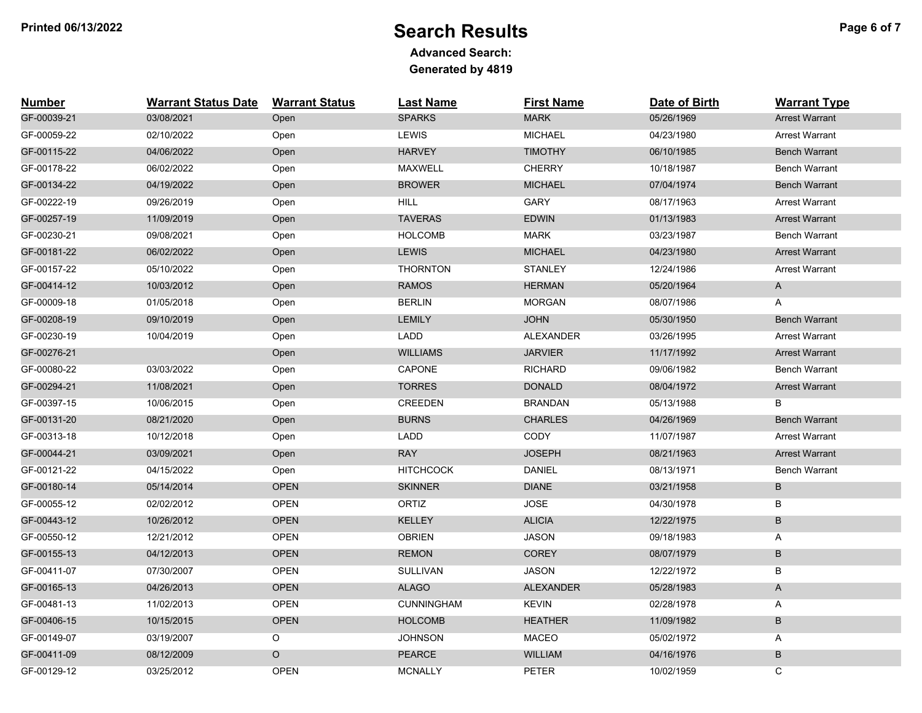## **Printed 06/13/2022** Proposed Page 6 of 7

| <b>Number</b> | <b>Warrant Status Date</b> | <b>Warrant Status</b> | <b>Last Name</b>  | <b>First Name</b> | Date of Birth | <b>Warrant Type</b>   |
|---------------|----------------------------|-----------------------|-------------------|-------------------|---------------|-----------------------|
| GF-00039-21   | 03/08/2021                 | Open                  | <b>SPARKS</b>     | <b>MARK</b>       | 05/26/1969    | <b>Arrest Warrant</b> |
| GF-00059-22   | 02/10/2022                 | Open                  | <b>LEWIS</b>      | <b>MICHAEL</b>    | 04/23/1980    | <b>Arrest Warrant</b> |
| GF-00115-22   | 04/06/2022                 | Open                  | <b>HARVEY</b>     | <b>TIMOTHY</b>    | 06/10/1985    | <b>Bench Warrant</b>  |
| GF-00178-22   | 06/02/2022                 | Open                  | <b>MAXWELL</b>    | <b>CHERRY</b>     | 10/18/1987    | <b>Bench Warrant</b>  |
| GF-00134-22   | 04/19/2022                 | Open                  | <b>BROWER</b>     | <b>MICHAEL</b>    | 07/04/1974    | <b>Bench Warrant</b>  |
| GF-00222-19   | 09/26/2019                 | Open                  | <b>HILL</b>       | <b>GARY</b>       | 08/17/1963    | <b>Arrest Warrant</b> |
| GF-00257-19   | 11/09/2019                 | Open                  | <b>TAVERAS</b>    | <b>EDWIN</b>      | 01/13/1983    | <b>Arrest Warrant</b> |
| GF-00230-21   | 09/08/2021                 | Open                  | <b>HOLCOMB</b>    | <b>MARK</b>       | 03/23/1987    | Bench Warrant         |
| GF-00181-22   | 06/02/2022                 | Open                  | <b>LEWIS</b>      | <b>MICHAEL</b>    | 04/23/1980    | <b>Arrest Warrant</b> |
| GF-00157-22   | 05/10/2022                 | Open                  | <b>THORNTON</b>   | <b>STANLEY</b>    | 12/24/1986    | <b>Arrest Warrant</b> |
| GF-00414-12   | 10/03/2012                 | Open                  | <b>RAMOS</b>      | <b>HERMAN</b>     | 05/20/1964    | A                     |
| GF-00009-18   | 01/05/2018                 | Open                  | <b>BERLIN</b>     | <b>MORGAN</b>     | 08/07/1986    | Α                     |
| GF-00208-19   | 09/10/2019                 | Open                  | <b>LEMILY</b>     | <b>JOHN</b>       | 05/30/1950    | <b>Bench Warrant</b>  |
| GF-00230-19   | 10/04/2019                 | Open                  | LADD              | <b>ALEXANDER</b>  | 03/26/1995    | <b>Arrest Warrant</b> |
| GF-00276-21   |                            | Open                  | <b>WILLIAMS</b>   | <b>JARVIER</b>    | 11/17/1992    | <b>Arrest Warrant</b> |
| GF-00080-22   | 03/03/2022                 | Open                  | CAPONE            | <b>RICHARD</b>    | 09/06/1982    | <b>Bench Warrant</b>  |
| GF-00294-21   | 11/08/2021                 | Open                  | <b>TORRES</b>     | <b>DONALD</b>     | 08/04/1972    | <b>Arrest Warrant</b> |
| GF-00397-15   | 10/06/2015                 | Open                  | <b>CREEDEN</b>    | <b>BRANDAN</b>    | 05/13/1988    | B                     |
| GF-00131-20   | 08/21/2020                 | Open                  | <b>BURNS</b>      | <b>CHARLES</b>    | 04/26/1969    | <b>Bench Warrant</b>  |
| GF-00313-18   | 10/12/2018                 | Open                  | LADD              | <b>CODY</b>       | 11/07/1987    | <b>Arrest Warrant</b> |
| GF-00044-21   | 03/09/2021                 | Open                  | <b>RAY</b>        | <b>JOSEPH</b>     | 08/21/1963    | <b>Arrest Warrant</b> |
| GF-00121-22   | 04/15/2022                 | Open                  | <b>HITCHCOCK</b>  | <b>DANIEL</b>     | 08/13/1971    | <b>Bench Warrant</b>  |
| GF-00180-14   | 05/14/2014                 | <b>OPEN</b>           | <b>SKINNER</b>    | <b>DIANE</b>      | 03/21/1958    | $\sf B$               |
| GF-00055-12   | 02/02/2012                 | <b>OPEN</b>           | ORTIZ             | <b>JOSE</b>       | 04/30/1978    | В                     |
| GF-00443-12   | 10/26/2012                 | <b>OPEN</b>           | <b>KELLEY</b>     | <b>ALICIA</b>     | 12/22/1975    | $\sf B$               |
| GF-00550-12   | 12/21/2012                 | <b>OPEN</b>           | <b>OBRIEN</b>     | <b>JASON</b>      | 09/18/1983    | A                     |
| GF-00155-13   | 04/12/2013                 | <b>OPEN</b>           | <b>REMON</b>      | <b>COREY</b>      | 08/07/1979    | B                     |
| GF-00411-07   | 07/30/2007                 | <b>OPEN</b>           | <b>SULLIVAN</b>   | <b>JASON</b>      | 12/22/1972    | B                     |
| GF-00165-13   | 04/26/2013                 | <b>OPEN</b>           | <b>ALAGO</b>      | <b>ALEXANDER</b>  | 05/28/1983    | $\mathsf A$           |
| GF-00481-13   | 11/02/2013                 | <b>OPEN</b>           | <b>CUNNINGHAM</b> | <b>KEVIN</b>      | 02/28/1978    | A                     |
| GF-00406-15   | 10/15/2015                 | <b>OPEN</b>           | <b>HOLCOMB</b>    | <b>HEATHER</b>    | 11/09/1982    | B                     |
| GF-00149-07   | 03/19/2007                 | O                     | <b>JOHNSON</b>    | <b>MACEO</b>      | 05/02/1972    | A                     |
| GF-00411-09   | 08/12/2009                 | $\circ$               | <b>PEARCE</b>     | <b>WILLIAM</b>    | 04/16/1976    | $\sf B$               |
| GF-00129-12   | 03/25/2012                 | <b>OPEN</b>           | <b>MCNALLY</b>    | <b>PETER</b>      | 10/02/1959    | C                     |